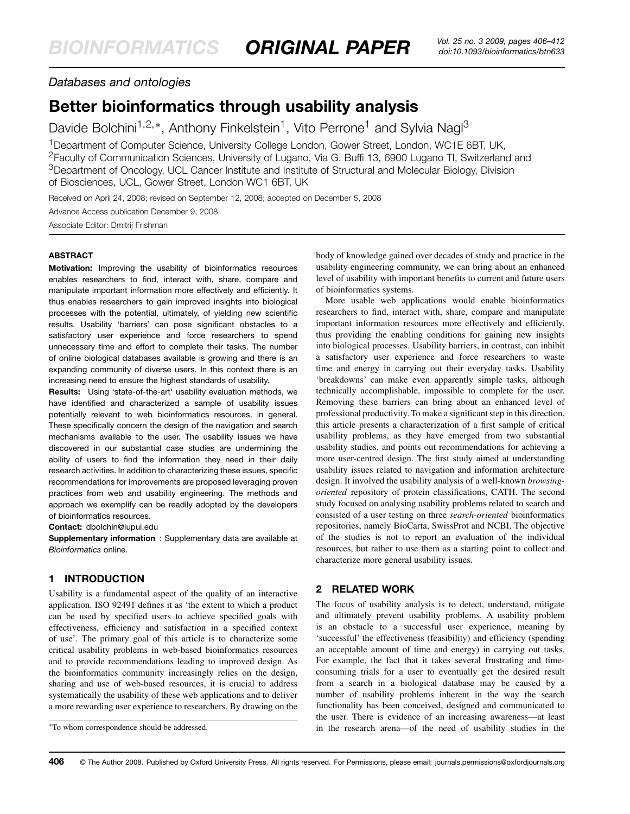# *Databases and ontologies*

# **Better bioinformatics through usability analysis**

Davide Bolchini<sup>1,2,∗</sup>, Anthony Finkelstein<sup>1</sup>, Vito Perrone<sup>1</sup> and Sylvia Nagl<sup>3</sup>

1Department of Computer Science, University College London, Gower Street, London, WC1E 6BT, UK, <sup>2</sup>Faculty of Communication Sciences, University of Lugano, Via G. Buffi 13, 6900 Lugano TI, Switzerland and <sup>3</sup>Department of Oncology, UCL Cancer Institute and Institute of Structural and Molecular Biology, Division of Biosciences, UCL, Gower Street, London WC1 6BT, UK

Received on April 24, 2008; revised on September 12, 2008; accepted on December 5, 2008

Advance Access publication December 9, 2008

Associate Editor: Dmitrij Frishman

# **ABSTRACT**

**Motivation:** Improving the usability of bioinformatics resources enables researchers to find, interact with, share, compare and manipulate important information more effectively and efficiently. It thus enables researchers to gain improved insights into biological processes with the potential, ultimately, of yielding new scientific results. Usability 'barriers' can pose significant obstacles to a satisfactory user experience and force researchers to spend unnecessary time and effort to complete their tasks. The number of online biological databases available is growing and there is an expanding community of diverse users. In this context there is an increasing need to ensure the highest standards of usability.

**Results:** Using 'state-of-the-art' usability evaluation methods, we have identified and characterized a sample of usability issues potentially relevant to web bioinformatics resources, in general. These specifically concern the design of the navigation and search mechanisms available to the user. The usability issues we have discovered in our substantial case studies are undermining the ability of users to find the information they need in their daily research activities. In addition to characterizing these issues, specific recommendations for improvements are proposed leveraging proven practices from web and usability engineering. The methods and approach we exemplify can be readily adopted by the developers of bioinformatics resources.

**Contact:** dbolchin@iupui.edu

**Supplementary information** : Supplementary data are available at *Bioinformatics* online.

# **1 INTRODUCTION**

Usability is a fundamental aspect of the quality of an interactive application. ISO 92491 defines it as 'the extent to which a product can be used by specified users to achieve specified goals with effectiveness, efficiency and satisfaction in a specified context of use'. The primary goal of this article is to characterize some critical usability problems in web-based bioinformatics resources and to provide recommendations leading to improved design. As the bioinformatics community increasingly relies on the design, sharing and use of web-based resources, it is crucial to address systematically the usability of these web applications and to deliver a more rewarding user experience to researchers. By drawing on the

body of knowledge gained over decades of study and practice in the usability engineering community, we can bring about an enhanced level of usability with important benefits to current and future users of bioinformatics systems.

More usable web applications would enable bioinformatics researchers to find, interact with, share, compare and manipulate important information resources more effectively and efficiently, thus providing the enabling conditions for gaining new insights into biological processes. Usability barriers, in contrast, can inhibit a satisfactory user experience and force researchers to waste time and energy in carrying out their everyday tasks. Usability 'breakdowns' can make even apparently simple tasks, although technically accomplishable, impossible to complete for the user. Removing these barriers can bring about an enhanced level of professional productivity. To make a significant step in this direction, this article presents a characterization of a first sample of critical usability problems, as they have emerged from two substantial usability studies, and points out recommendations for achieving a more user-centred design. The first study aimed at understanding usability issues related to navigation and information architecture design. It involved the usability analysis of a well-known *browsingoriented* repository of protein classifications, CATH. The second study focused on analysing usability problems related to search and consisted of a user testing on three *search-oriented* bioinformatics repositories, namely BioCarta, SwissProt and NCBI. The objective of the studies is not to report an evaluation of the individual resources, but rather to use them as a starting point to collect and characterize more general usability issues.

# **2 RELATED WORK**

The focus of usability analysis is to detect, understand, mitigate and ultimately prevent usability problems. A usability problem is an obstacle to a successful user experience, meaning by 'successful' the effectiveness (feasibility) and efficiency (spending an acceptable amount of time and energy) in carrying out tasks. For example, the fact that it takes several frustrating and timeconsuming trials for a user to eventually get the desired result from a search in a biological database may be caused by a number of usability problems inherent in the way the search functionality has been conceived, designed and communicated to the user. There is evidence of an increasing awareness—at least in the research arena—of the need of usability studies in the

<sup>∗</sup>To whom correspondence should be addressed.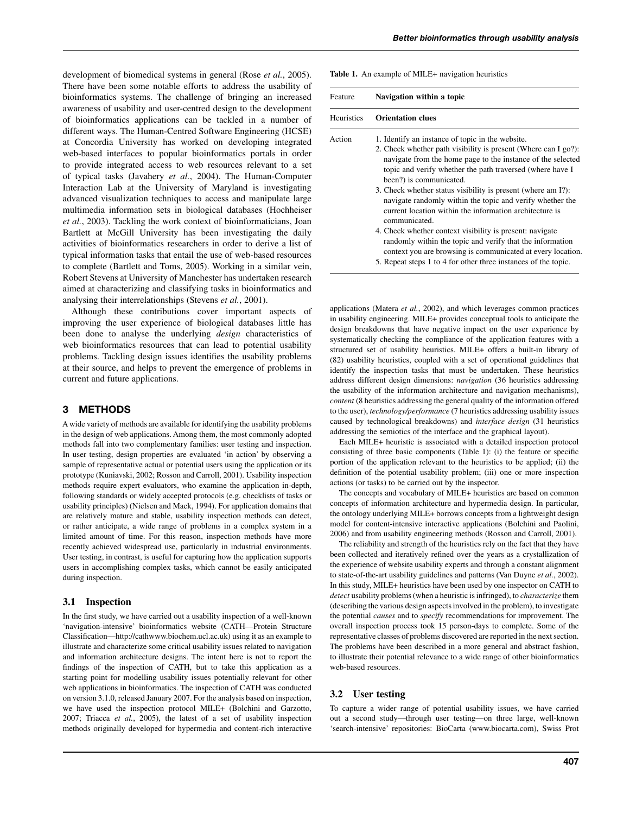development of biomedical systems in general (Rose *et al.*, 2005). There have been some notable efforts to address the usability of bioinformatics systems. The challenge of bringing an increased awareness of usability and user-centred design to the development of bioinformatics applications can be tackled in a number of different ways. The Human-Centred Software Engineering (HCSE) at Concordia University has worked on developing integrated web-based interfaces to popular bioinformatics portals in order to provide integrated access to web resources relevant to a set of typical tasks (Javahery *et al.*, 2004). The Human-Computer Interaction Lab at the University of Maryland is investigating advanced visualization techniques to access and manipulate large multimedia information sets in biological databases (Hochheiser *et al.*, 2003). Tackling the work context of bioinformaticians, Joan Bartlett at McGill University has been investigating the daily activities of bioinformatics researchers in order to derive a list of typical information tasks that entail the use of web-based resources to complete (Bartlett and Toms, 2005). Working in a similar vein, Robert Stevens at University of Manchester has undertaken research aimed at characterizing and classifying tasks in bioinformatics and analysing their interrelationships (Stevens *et al.*, 2001).

Although these contributions cover important aspects of improving the user experience of biological databases little has been done to analyse the underlying *design* characteristics of web bioinformatics resources that can lead to potential usability problems. Tackling design issues identifies the usability problems at their source, and helps to prevent the emergence of problems in current and future applications.

# **3 METHODS**

A wide variety of methods are available for identifying the usability problems in the design of web applications. Among them, the most commonly adopted methods fall into two complementary families: user testing and inspection. In user testing, design properties are evaluated 'in action' by observing a sample of representative actual or potential users using the application or its prototype (Kuniavski, 2002; Rosson and Carroll, 2001). Usability inspection methods require expert evaluators, who examine the application in-depth, following standards or widely accepted protocols (e.g. checklists of tasks or usability principles) (Nielsen and Mack, 1994). For application domains that are relatively mature and stable, usability inspection methods can detect, or rather anticipate, a wide range of problems in a complex system in a limited amount of time. For this reason, inspection methods have more recently achieved widespread use, particularly in industrial environments. User testing, in contrast, is useful for capturing how the application supports users in accomplishing complex tasks, which cannot be easily anticipated during inspection.

## **3.1 Inspection**

In the first study, we have carried out a usability inspection of a well-known 'navigation-intensive' bioinformatics website (CATH—Protein Structure Classification[—http://cathwww.biochem.ucl.ac.uk\)](http://cathwww.biochem.ucl.ac.uk) using it as an example to illustrate and characterize some critical usability issues related to navigation and information architecture designs. The intent here is not to report the findings of the inspection of CATH, but to take this application as a starting point for modelling usability issues potentially relevant for other web applications in bioinformatics. The inspection of CATH was conducted on version 3.1.0, released January 2007. For the analysis based on inspection, we have used the inspection protocol MILE+ (Bolchini and Garzotto, 2007; Triacca *et al.*, 2005), the latest of a set of usability inspection methods originally developed for hypermedia and content-rich interactive Table 1. An example of MILE+ navigation heuristics

| Feature           | Navigation within a topic                                                                                                                                                                                                                                                                                                                                                                                                                                                                                                                                                                                                                                                                                                                    |
|-------------------|----------------------------------------------------------------------------------------------------------------------------------------------------------------------------------------------------------------------------------------------------------------------------------------------------------------------------------------------------------------------------------------------------------------------------------------------------------------------------------------------------------------------------------------------------------------------------------------------------------------------------------------------------------------------------------------------------------------------------------------------|
| <b>Heuristics</b> | <b>Orientation clues</b>                                                                                                                                                                                                                                                                                                                                                                                                                                                                                                                                                                                                                                                                                                                     |
| Action            | 1. Identify an instance of topic in the website.<br>2. Check whether path visibility is present (Where can I go?):<br>navigate from the home page to the instance of the selected<br>topic and verify whether the path traversed (where have I<br>been?) is communicated.<br>3. Check whether status visibility is present (where am I?):<br>navigate randomly within the topic and verify whether the<br>current location within the information architecture is<br>communicated.<br>4. Check whether context visibility is present: navigate<br>randomly within the topic and verify that the information<br>context you are browsing is communicated at every location.<br>5. Repeat steps 1 to 4 for other three instances of the topic. |

applications (Matera *et al.*, 2002), and which leverages common practices in usability engineering. MILE+ provides conceptual tools to anticipate the design breakdowns that have negative impact on the user experience by systematically checking the compliance of the application features with a structured set of usability heuristics. MILE+ offers a built-in library of (82) usability heuristics, coupled with a set of operational guidelines that identify the inspection tasks that must be undertaken. These heuristics address different design dimensions: *navigation* (36 heuristics addressing the usability of the information architecture and navigation mechanisms), *content* (8 heuristics addressing the general quality of the information offered to the user), *technology/performance* (7 heuristics addressing usability issues caused by technological breakdowns) and *interface design* (31 heuristics addressing the semiotics of the interface and the graphical layout).

Each MILE+ heuristic is associated with a detailed inspection protocol consisting of three basic components (Table 1): (i) the feature or specific portion of the application relevant to the heuristics to be applied; (ii) the definition of the potential usability problem; (iii) one or more inspection actions (or tasks) to be carried out by the inspector.

The concepts and vocabulary of MILE+ heuristics are based on common concepts of information architecture and hypermedia design. In particular, the ontology underlying MILE+ borrows concepts from a lightweight design model for content-intensive interactive applications (Bolchini and Paolini, 2006) and from usability engineering methods (Rosson and Carroll, 2001).

The reliability and strength of the heuristics rely on the fact that they have been collected and iteratively refined over the years as a crystallization of the experience of website usability experts and through a constant alignment to state-of-the-art usability guidelines and patterns (Van Duyne *et al.*, 2002). In this study, MILE+ heuristics have been used by one inspector on CATH to *detect* usability problems (when a heuristic is infringed), to *characterize* them (describing the various design aspects involved in the problem), to investigate the potential *causes* and to *specify* recommendations for improvement. The overall inspection process took 15 person-days to complete. Some of the representative classes of problems discovered are reported in the next section. The problems have been described in a more general and abstract fashion, to illustrate their potential relevance to a wide range of other bioinformatics web-based resources.

#### **3.2 User testing**

To capture a wider range of potential usability issues, we have carried out a second study—through user testing—on three large, well-known 'search-intensive' repositories: BioCarta (www.biocarta.com), Swiss Prot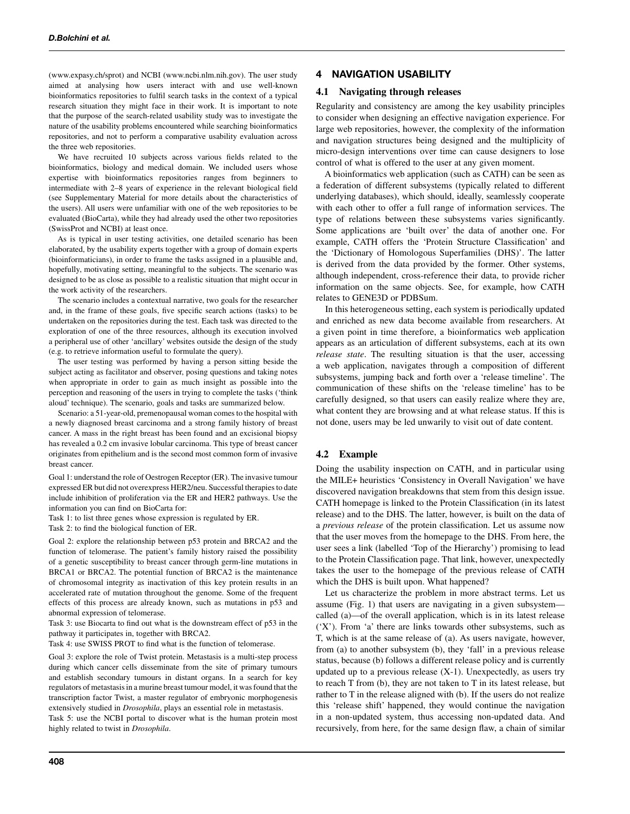(www.expasy.ch/sprot) and NCBI (www.ncbi.nlm.nih.gov). The user study aimed at analysing how users interact with and use well-known bioinformatics repositories to fulfil search tasks in the context of a typical research situation they might face in their work. It is important to note that the purpose of the search-related usability study was to investigate the nature of the usability problems encountered while searching bioinformatics repositories, and not to perform a comparative usability evaluation across the three web repositories.

We have recruited 10 subjects across various fields related to the bioinformatics, biology and medical domain. We included users whose expertise with bioinformatics repositories ranges from beginners to intermediate with 2–8 years of experience in the relevant biological field (see Supplementary Material for more details about the characteristics of the users). All users were unfamiliar with one of the web repositories to be evaluated (BioCarta), while they had already used the other two repositories (SwissProt and NCBI) at least once.

As is typical in user testing activities, one detailed scenario has been elaborated, by the usability experts together with a group of domain experts (bioinformaticians), in order to frame the tasks assigned in a plausible and, hopefully, motivating setting, meaningful to the subjects. The scenario was designed to be as close as possible to a realistic situation that might occur in the work activity of the researchers.

The scenario includes a contextual narrative, two goals for the researcher and, in the frame of these goals, five specific search actions (tasks) to be undertaken on the repositories during the test. Each task was directed to the exploration of one of the three resources, although its execution involved a peripheral use of other 'ancillary' websites outside the design of the study (e.g. to retrieve information useful to formulate the query).

The user testing was performed by having a person sitting beside the subject acting as facilitator and observer, posing questions and taking notes when appropriate in order to gain as much insight as possible into the perception and reasoning of the users in trying to complete the tasks ('think aloud' technique). The scenario, goals and tasks are summarized below.

Scenario: a 51-year-old, premenopausal woman comes to the hospital with a newly diagnosed breast carcinoma and a strong family history of breast cancer. A mass in the right breast has been found and an excisional biopsy has revealed a 0.2 cm invasive lobular carcinoma. This type of breast cancer originates from epithelium and is the second most common form of invasive breast cancer.

Goal 1: understand the role of Oestrogen Receptor (ER). The invasive tumour expressed ER but did not overexpress HER2/neu. Successful therapies to date include inhibition of proliferation via the ER and HER2 pathways. Use the information you can find on BioCarta for:

Task 1: to list three genes whose expression is regulated by ER.

Task 2: to find the biological function of ER.

Goal 2: explore the relationship between p53 protein and BRCA2 and the function of telomerase. The patient's family history raised the possibility of a genetic susceptibility to breast cancer through germ-line mutations in BRCA1 or BRCA2. The potential function of BRCA2 is the maintenance of chromosomal integrity as inactivation of this key protein results in an accelerated rate of mutation throughout the genome. Some of the frequent effects of this process are already known, such as mutations in p53 and abnormal expression of telomerase.

Task 3: use Biocarta to find out what is the downstream effect of p53 in the pathway it participates in, together with BRCA2.

Task 4: use SWISS PROT to find what is the function of telomerase.

Goal 3: explore the role of Twist protein. Metastasis is a multi-step process during which cancer cells disseminate from the site of primary tumours and establish secondary tumours in distant organs. In a search for key regulators of metastasis in a murine breast tumour model, it was found that the transcription factor Twist, a master regulator of embryonic morphogenesis extensively studied in *Drosophila*, plays an essential role in metastasis.

Task 5: use the NCBI portal to discover what is the human protein most highly related to twist in *Drosophila*.

### **4 NAVIGATION USABILITY**

#### **4.1 Navigating through releases**

Regularity and consistency are among the key usability principles to consider when designing an effective navigation experience. For large web repositories, however, the complexity of the information and navigation structures being designed and the multiplicity of micro-design interventions over time can cause designers to lose control of what is offered to the user at any given moment.

A bioinformatics web application (such as CATH) can be seen as a federation of different subsystems (typically related to different underlying databases), which should, ideally, seamlessly cooperate with each other to offer a full range of information services. The type of relations between these subsystems varies significantly. Some applications are 'built over' the data of another one. For example, CATH offers the 'Protein Structure Classification' and the 'Dictionary of Homologous Superfamilies (DHS)'. The latter is derived from the data provided by the former. Other systems, although independent, cross-reference their data, to provide richer information on the same objects. See, for example, how CATH relates to GENE3D or PDBSum.

In this heterogeneous setting, each system is periodically updated and enriched as new data become available from researchers. At a given point in time therefore, a bioinformatics web application appears as an articulation of different subsystems, each at its own *release state*. The resulting situation is that the user, accessing a web application, navigates through a composition of different subsystems, jumping back and forth over a 'release timeline'. The communication of these shifts on the 'release timeline' has to be carefully designed, so that users can easily realize where they are, what content they are browsing and at what release status. If this is not done, users may be led unwarily to visit out of date content.

#### **4.2 Example**

Doing the usability inspection on CATH, and in particular using the MILE+ heuristics 'Consistency in Overall Navigation' we have discovered navigation breakdowns that stem from this design issue. CATH homepage is linked to the Protein Classification (in its latest release) and to the DHS. The latter, however, is built on the data of a *previous release* of the protein classification. Let us assume now that the user moves from the homepage to the DHS. From here, the user sees a link (labelled 'Top of the Hierarchy') promising to lead to the Protein Classification page. That link, however, unexpectedly takes the user to the homepage of the previous release of CATH which the DHS is built upon. What happened?

Let us characterize the problem in more abstract terms. Let us assume (Fig. 1) that users are navigating in a given subsystem called (a)—of the overall application, which is in its latest release ('X'). From 'a' there are links towards other subsystems, such as T, which is at the same release of (a). As users navigate, however, from (a) to another subsystem (b), they 'fall' in a previous release status, because (b) follows a different release policy and is currently updated up to a previous release  $(X-1)$ . Unexpectedly, as users try to reach T from (b), they are not taken to T in its latest release, but rather to T in the release aligned with (b). If the users do not realize this 'release shift' happened, they would continue the navigation in a non-updated system, thus accessing non-updated data. And recursively, from here, for the same design flaw, a chain of similar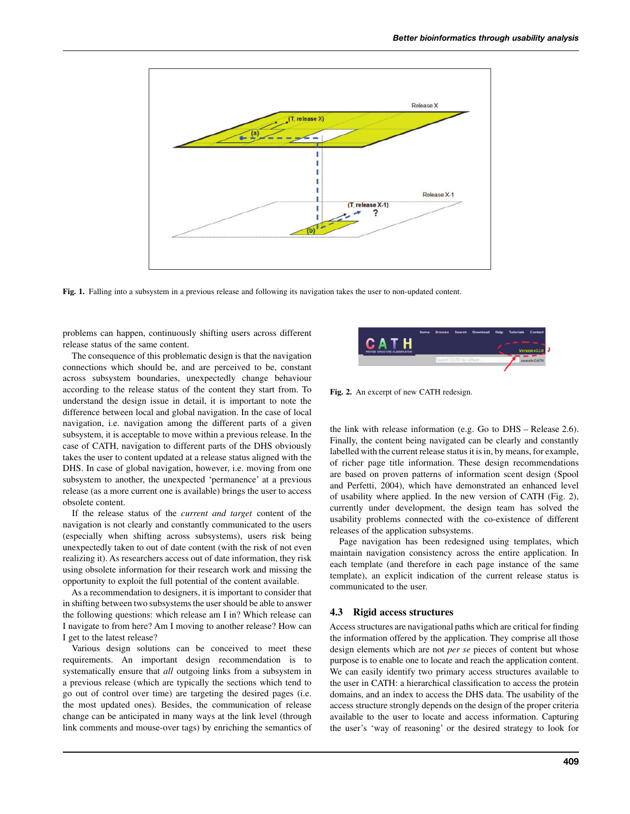

**Fig. 1.** Falling into a subsystem in a previous release and following its navigation takes the user to non-updated content.

problems can happen, continuously shifting users across different release status of the same content.

The consequence of this problematic design is that the navigation connections which should be, and are perceived to be, constant across subsystem boundaries, unexpectedly change behaviour according to the release status of the content they start from. To understand the design issue in detail, it is important to note the difference between local and global navigation. In the case of local navigation, i.e. navigation among the different parts of a given subsystem, it is acceptable to move within a previous release. In the case of CATH, navigation to different parts of the DHS obviously takes the user to content updated at a release status aligned with the DHS. In case of global navigation, however, i.e. moving from one subsystem to another, the unexpected 'permanence' at a previous release (as a more current one is available) brings the user to access obsolete content.

If the release status of the *current and target* content of the navigation is not clearly and constantly communicated to the users (especially when shifting across subsystems), users risk being unexpectedly taken to out of date content (with the risk of not even realizing it). As researchers access out of date information, they risk using obsolete information for their research work and missing the opportunity to exploit the full potential of the content available.

As a recommendation to designers, it is important to consider that in shifting between two subsystems the user should be able to answer the following questions: which release am I in? Which release can I navigate to from here? Am I moving to another release? How can I get to the latest release?

Various design solutions can be conceived to meet these requirements. An important design recommendation is to systematically ensure that *all* outgoing links from a subsystem in a previous release (which are typically the sections which tend to go out of control over time) are targeting the desired pages (i.e. the most updated ones). Besides, the communication of release change can be anticipated in many ways at the link level (through link comments and mouse-over tags) by enriching the semantics of



**Fig. 2.** An excerpt of new CATH redesign.

the link with release information (e.g. Go to DHS – Release 2.6). Finally, the content being navigated can be clearly and constantly labelled with the current release status it is in, by means, for example, of richer page title information. These design recommendations are based on proven patterns of information scent design (Spool and Perfetti, 2004), which have demonstrated an enhanced level of usability where applied. In the new version of CATH (Fig. 2), currently under development, the design team has solved the usability problems connected with the co-existence of different releases of the application subsystems.

Page navigation has been redesigned using templates, which maintain navigation consistency across the entire application. In each template (and therefore in each page instance of the same template), an explicit indication of the current release status is communicated to the user.

#### **4.3 Rigid access structures**

Access structures are navigational paths which are critical for finding the information offered by the application. They comprise all those design elements which are not *per se* pieces of content but whose purpose is to enable one to locate and reach the application content. We can easily identify two primary access structures available to the user in CATH: a hierarchical classification to access the protein domains, and an index to access the DHS data. The usability of the access structure strongly depends on the design of the proper criteria available to the user to locate and access information. Capturing the user's 'way of reasoning' or the desired strategy to look for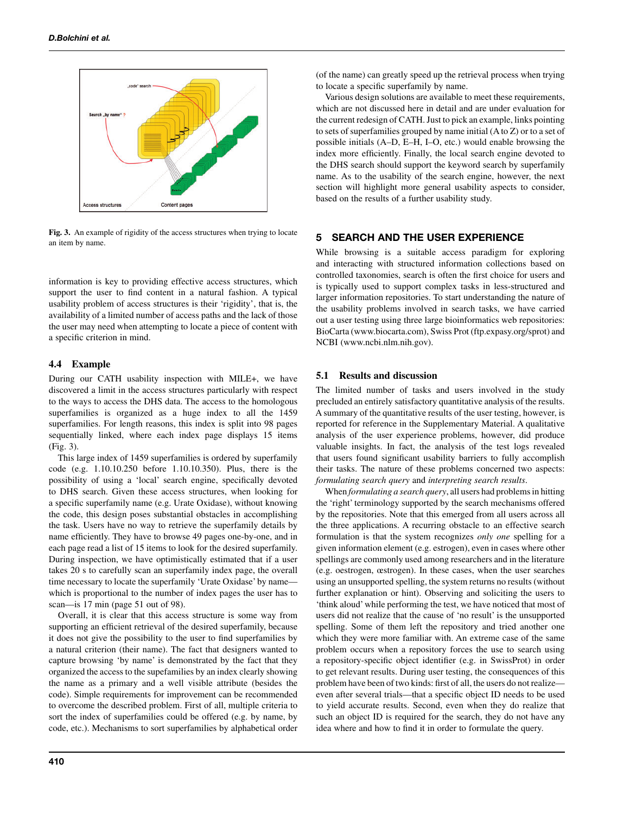

**Fig. 3.** An example of rigidity of the access structures when trying to locate an item by name.

information is key to providing effective access structures, which support the user to find content in a natural fashion. A typical usability problem of access structures is their 'rigidity', that is, the availability of a limited number of access paths and the lack of those the user may need when attempting to locate a piece of content with a specific criterion in mind.

## **4.4 Example**

During our CATH usability inspection with MILE+, we have discovered a limit in the access structures particularly with respect to the ways to access the DHS data. The access to the homologous superfamilies is organized as a huge index to all the 1459 superfamilies. For length reasons, this index is split into 98 pages sequentially linked, where each index page displays 15 items (Fig. 3).

This large index of 1459 superfamilies is ordered by superfamily code (e.g. 1.10.10.250 before 1.10.10.350). Plus, there is the possibility of using a 'local' search engine, specifically devoted to DHS search. Given these access structures, when looking for a specific superfamily name (e.g. Urate Oxidase), without knowing the code, this design poses substantial obstacles in accomplishing the task. Users have no way to retrieve the superfamily details by name efficiently. They have to browse 49 pages one-by-one, and in each page read a list of 15 items to look for the desired superfamily. During inspection, we have optimistically estimated that if a user takes 20 s to carefully scan an superfamily index page, the overall time necessary to locate the superfamily 'Urate Oxidase' by name which is proportional to the number of index pages the user has to scan—is 17 min (page 51 out of 98).

Overall, it is clear that this access structure is some way from supporting an efficient retrieval of the desired superfamily, because it does not give the possibility to the user to find superfamilies by a natural criterion (their name). The fact that designers wanted to capture browsing 'by name' is demonstrated by the fact that they organized the access to the supefamilies by an index clearly showing the name as a primary and a well visible attribute (besides the code). Simple requirements for improvement can be recommended to overcome the described problem. First of all, multiple criteria to sort the index of superfamilies could be offered (e.g. by name, by code, etc.). Mechanisms to sort superfamilies by alphabetical order

(of the name) can greatly speed up the retrieval process when trying to locate a specific superfamily by name.

Various design solutions are available to meet these requirements, which are not discussed here in detail and are under evaluation for the current redesign of CATH. Just to pick an example, links pointing to sets of superfamilies grouped by name initial (A to Z) or to a set of possible initials (A–D, E–H, I–O, etc.) would enable browsing the index more efficiently. Finally, the local search engine devoted to the DHS search should support the keyword search by superfamily name. As to the usability of the search engine, however, the next section will highlight more general usability aspects to consider, based on the results of a further usability study.

# **5 SEARCH AND THE USER EXPERIENCE**

While browsing is a suitable access paradigm for exploring and interacting with structured information collections based on controlled taxonomies, search is often the first choice for users and is typically used to support complex tasks in less-structured and larger information repositories. To start understanding the nature of the usability problems involved in search tasks, we have carried out a user testing using three large bioinformatics web repositories: BioCarta (www.biocarta.com), Swiss Prot (ftp.expasy.org/sprot) and NCBI (www.ncbi.nlm.nih.gov).

### **5.1 Results and discussion**

The limited number of tasks and users involved in the study precluded an entirely satisfactory quantitative analysis of the results. A summary of the quantitative results of the user testing, however, is reported for reference in the Supplementary Material. A qualitative analysis of the user experience problems, however, did produce valuable insights. In fact, the analysis of the test logs revealed that users found significant usability barriers to fully accomplish their tasks. The nature of these problems concerned two aspects: *formulating search query* and *interpreting search results*.

When *formulating a search query*, all users had problems in hitting the 'right' terminology supported by the search mechanisms offered by the repositories. Note that this emerged from all users across all the three applications. A recurring obstacle to an effective search formulation is that the system recognizes *only one* spelling for a given information element (e.g. estrogen), even in cases where other spellings are commonly used among researchers and in the literature (e.g. oestrogen, œstrogen). In these cases, when the user searches using an unsupported spelling, the system returns no results (without further explanation or hint). Observing and soliciting the users to 'think aloud' while performing the test, we have noticed that most of users did not realize that the cause of 'no result' is the unsupported spelling. Some of them left the repository and tried another one which they were more familiar with. An extreme case of the same problem occurs when a repository forces the use to search using a repository-specific object identifier (e.g. in SwissProt) in order to get relevant results. During user testing, the consequences of this problem have been of two kinds: first of all, the users do not realize even after several trials—that a specific object ID needs to be used to yield accurate results. Second, even when they do realize that such an object ID is required for the search, they do not have any idea where and how to find it in order to formulate the query.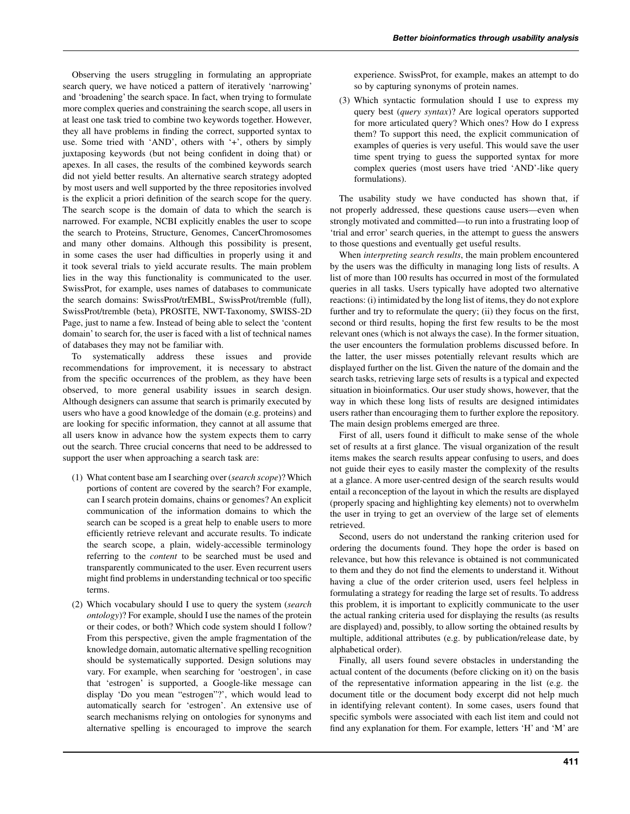Observing the users struggling in formulating an appropriate search query, we have noticed a pattern of iteratively 'narrowing' and 'broadening' the search space. In fact, when trying to formulate more complex queries and constraining the search scope, all users in at least one task tried to combine two keywords together. However, they all have problems in finding the correct, supported syntax to use. Some tried with 'AND', others with '+', others by simply juxtaposing keywords (but not being confident in doing that) or apexes. In all cases, the results of the combined keywords search did not yield better results. An alternative search strategy adopted by most users and well supported by the three repositories involved is the explicit a priori definition of the search scope for the query. The search scope is the domain of data to which the search is narrowed. For example, NCBI explicitly enables the user to scope the search to Proteins, Structure, Genomes, CancerChromosomes and many other domains. Although this possibility is present, in some cases the user had difficulties in properly using it and it took several trials to yield accurate results. The main problem lies in the way this functionality is communicated to the user. SwissProt, for example, uses names of databases to communicate the search domains: SwissProt/trEMBL, SwissProt/tremble (full), SwissProt/tremble (beta), PROSITE, NWT-Taxonomy, SWISS-2D Page, just to name a few. Instead of being able to select the 'content domain' to search for, the user is faced with a list of technical names of databases they may not be familiar with.

To systematically address these issues and provide recommendations for improvement, it is necessary to abstract from the specific occurrences of the problem, as they have been observed, to more general usability issues in search design. Although designers can assume that search is primarily executed by users who have a good knowledge of the domain (e.g. proteins) and are looking for specific information, they cannot at all assume that all users know in advance how the system expects them to carry out the search. Three crucial concerns that need to be addressed to support the user when approaching a search task are:

- (1) What content base am I searching over (*search scope*)? Which portions of content are covered by the search? For example, can I search protein domains, chains or genomes? An explicit communication of the information domains to which the search can be scoped is a great help to enable users to more efficiently retrieve relevant and accurate results. To indicate the search scope, a plain, widely-accessible terminology referring to the *content* to be searched must be used and transparently communicated to the user. Even recurrent users might find problems in understanding technical or too specific terms.
- (2) Which vocabulary should I use to query the system (*search ontology*)? For example, should I use the names of the protein or their codes, or both? Which code system should I follow? From this perspective, given the ample fragmentation of the knowledge domain, automatic alternative spelling recognition should be systematically supported. Design solutions may vary. For example, when searching for 'oestrogen', in case that 'estrogen' is supported, a Google-like message can display 'Do you mean "estrogen"?', which would lead to automatically search for 'estrogen'. An extensive use of search mechanisms relying on ontologies for synonyms and alternative spelling is encouraged to improve the search

experience. SwissProt, for example, makes an attempt to do so by capturing synonyms of protein names.

(3) Which syntactic formulation should I use to express my query best (*query syntax*)? Are logical operators supported for more articulated query? Which ones? How do I express them? To support this need, the explicit communication of examples of queries is very useful. This would save the user time spent trying to guess the supported syntax for more complex queries (most users have tried 'AND'-like query formulations).

The usability study we have conducted has shown that, if not properly addressed, these questions cause users—even when strongly motivated and committed—to run into a frustrating loop of 'trial and error' search queries, in the attempt to guess the answers to those questions and eventually get useful results.

When *interpreting search results*, the main problem encountered by the users was the difficulty in managing long lists of results. A list of more than 100 results has occurred in most of the formulated queries in all tasks. Users typically have adopted two alternative reactions: (i) intimidated by the long list of items, they do not explore further and try to reformulate the query; (ii) they focus on the first, second or third results, hoping the first few results to be the most relevant ones (which is not always the case). In the former situation, the user encounters the formulation problems discussed before. In the latter, the user misses potentially relevant results which are displayed further on the list. Given the nature of the domain and the search tasks, retrieving large sets of results is a typical and expected situation in bioinformatics. Our user study shows, however, that the way in which these long lists of results are designed intimidates users rather than encouraging them to further explore the repository. The main design problems emerged are three.

First of all, users found it difficult to make sense of the whole set of results at a first glance. The visual organization of the result items makes the search results appear confusing to users, and does not guide their eyes to easily master the complexity of the results at a glance. A more user-centred design of the search results would entail a reconception of the layout in which the results are displayed (properly spacing and highlighting key elements) not to overwhelm the user in trying to get an overview of the large set of elements retrieved.

Second, users do not understand the ranking criterion used for ordering the documents found. They hope the order is based on relevance, but how this relevance is obtained is not communicated to them and they do not find the elements to understand it. Without having a clue of the order criterion used, users feel helpless in formulating a strategy for reading the large set of results. To address this problem, it is important to explicitly communicate to the user the actual ranking criteria used for displaying the results (as results are displayed) and, possibly, to allow sorting the obtained results by multiple, additional attributes (e.g. by publication/release date, by alphabetical order).

Finally, all users found severe obstacles in understanding the actual content of the documents (before clicking on it) on the basis of the representative information appearing in the list (e.g. the document title or the document body excerpt did not help much in identifying relevant content). In some cases, users found that specific symbols were associated with each list item and could not find any explanation for them. For example, letters 'H' and 'M' are